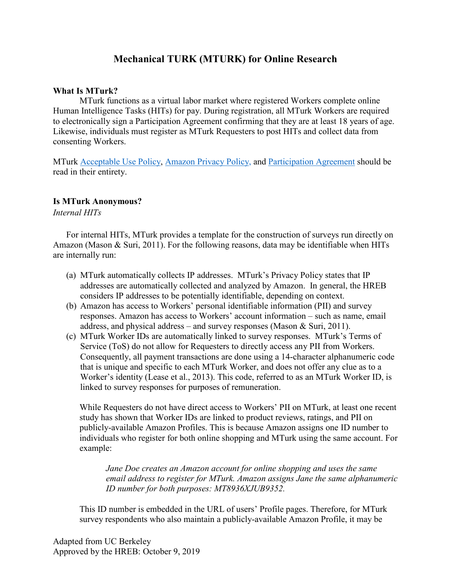# **Mechanical TURK (MTURK) for Online Research**

#### **What Is MTurk?**

MTurk functions as a virtual labor market where registered Workers complete online Human Intelligence Tasks (HITs) for pay. During registration, all MTurk Workers are required to electronically sign a Participation Agreement confirming that they are at least 18 years of age. Likewise, individuals must register as MTurk Requesters to post HITs and collect data from consenting Workers.

MTurk [Acceptable Use Policy,](https://www.mturk.com/worker/acceptable-use-policy) [Amazon Privacy Policy,](https://www.amazon.com/gp/help/customer/display.html/ref=footer_privacy?ie=UTF8&nodeId=468496) and [Participation Agreement](https://www.mturk.com/participation-agreement) should be read in their entirety.

### **Is MTurk Anonymous?**

*Internal HITs*

For internal HITs, MTurk provides a template for the construction of surveys run directly on Amazon (Mason & Suri, 2011). For the following reasons, data may be identifiable when HITs are internally run:

- (a) MTurk automatically collects IP addresses. MTurk's Privacy Policy states that IP addresses are automatically collected and analyzed by Amazon. In general, the HREB considers IP addresses to be potentially identifiable, depending on context.
- (b) Amazon has access to Workers' personal identifiable information (PII) and survey responses. Amazon has access to Workers' account information – such as name, email address, and physical address – and survey responses (Mason & Suri, 2011).
- (c) MTurk Worker IDs are automatically linked to survey responses. MTurk's Terms of Service (ToS) do not allow for Requesters to directly access any PII from Workers. Consequently, all payment transactions are done using a 14-character alphanumeric code that is unique and specific to each MTurk Worker, and does not offer any clue as to a Worker's identity (Lease et al., 2013). This code, referred to as an MTurk Worker ID, is linked to survey responses for purposes of remuneration.

While Requesters do not have direct access to Workers' PII on MTurk, at least one recent study has shown that Worker IDs are linked to product reviews, ratings, and PII on publicly-available Amazon Profiles. This is because Amazon assigns one ID number to individuals who register for both online shopping and MTurk using the same account. For example:

*Jane Doe creates an Amazon account for online shopping and uses the same email address to register for MTurk. Amazon assigns Jane the same alphanumeric ID number for both purposes: MT8936XJUB9352.*

This ID number is embedded in the URL of users' Profile pages. Therefore, for MTurk survey respondents who also maintain a publicly-available Amazon Profile, it may be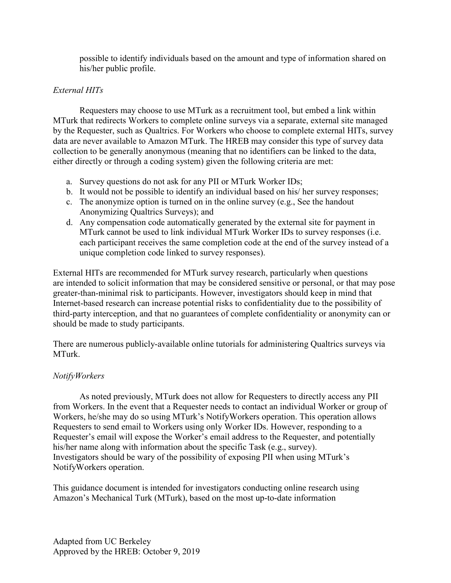possible to identify individuals based on the amount and type of information shared on his/her public profile.

## *External HITs*

Requesters may choose to use MTurk as a recruitment tool, but embed a link within MTurk that redirects Workers to complete online surveys via a separate, external site managed by the Requester, such as Qualtrics. For Workers who choose to complete external HITs, survey data are never available to Amazon MTurk. The HREB may consider this type of survey data collection to be generally anonymous (meaning that no identifiers can be linked to the data, either directly or through a coding system) given the following criteria are met:

- a. Survey questions do not ask for any PII or MTurk Worker IDs;
- b. It would not be possible to identify an individual based on his/ her survey responses;
- c. The anonymize option is turned on in the online survey (e.g., See the handout Anonymizing Qualtrics Surveys); and
- d. Any compensation code automatically generated by the external site for payment in MTurk cannot be used to link individual MTurk Worker IDs to survey responses (i.e. each participant receives the same completion code at the end of the survey instead of a unique completion code linked to survey responses).

External HITs are recommended for MTurk survey research, particularly when questions are intended to solicit information that may be considered sensitive or personal, or that may pose greater-than-minimal risk to participants. However, investigators should keep in mind that Internet-based research can increase potential risks to confidentiality due to the possibility of third-party interception, and that no guarantees of complete confidentiality or anonymity can or should be made to study participants.

There are numerous publicly-available online tutorials for administering Qualtrics surveys via MTurk.

## *NotifyWorkers*

As noted previously, MTurk does not allow for Requesters to directly access any PII from Workers. In the event that a Requester needs to contact an individual Worker or group of Workers, he/she may do so using MTurk's NotifyWorkers operation. This operation allows Requesters to send email to Workers using only Worker IDs. However, responding to a Requester's email will expose the Worker's email address to the Requester, and potentially his/her name along with information about the specific Task (e.g., survey). Investigators should be wary of the possibility of exposing PII when using MTurk's NotifyWorkers operation.

This guidance document is intended for investigators conducting online research using Amazon's Mechanical Turk (MTurk), based on the most up-to-date information